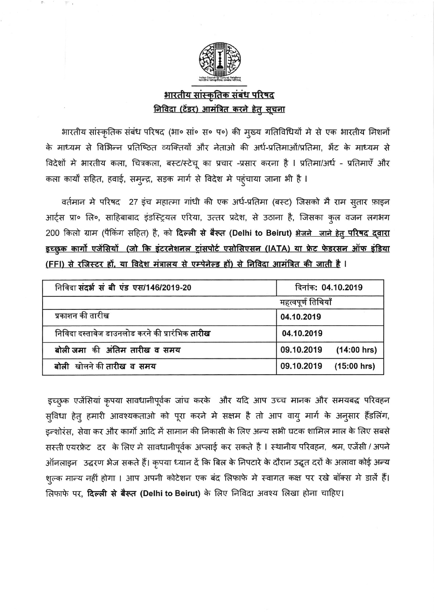

## <u>भारतीय सांस्कृतिक संबंध परिषद</u> <u>निविदा (टेंडर) आमंत्रित करने हेतु सूचना</u>

भारतीय सांस्कृतिक संबंध परिषद (भा० सां० स० प०) की मुख्य गतिविधियों मे से एक भारतीय मिशनों के माध्यम से विभिन्न प्रतिष्ठित व्यक्तियों और नेताओ की अर्ध-प्रतिमाओं/प्रतिमा, भेंट के माध्यम से विदेशों मे भारतीय कला, चित्रकला, बस्ट/स्टेचू का प्रचार -प्रसार करना है । प्रतिमा/अर्ध - प्रतिमाएँ और कला कार्यों सहित, हवाई, समन्द्र, सड़क मार्ग से विदेश मे पहुंचाया जाना भी है ।

वर्तमान मे परिषद 27 इंच महात्मा गांधी की एक अर्ध-प्रतिमा (बस्ट) जिसको मै राम सूतार फ़ाइन आर्ट्स प्रा॰ लि॰, साहिबाबाद इंडस्ट्रियल एरिया, उत्तर प्रदेश, से उठाना है, जिसका कुल वजन लगभग 200 किलो ग्राम (पैकिंग सहित) है, को दिल्ली से बैरूत (Delhi to Beirut) भेजने जाने हेतु परिषद दवारा <u>इच्छुक कार्गो एजेंसियों (जो कि इंटरनेशनल ट्रांसपोर्ट एसोसिएसन (IATA) या फ्रेट फेडरसन ऑफ इंडिया</u> <u>(FFI) से रजिस्टर हों, या विदेश मंत्रालय से एम्पेनेल्ड हों) से निविदा आमंत्रित की जाती है</u> ।

| निविदा संदर्भ संबी एंड एस/146/2019-20                  | दिनांक: 04.10.2019          |  |
|--------------------------------------------------------|-----------------------------|--|
|                                                        | महत्वपूर्ण तिथियाँ          |  |
| प्रकाशन की तारीख                                       | 04.10.2019                  |  |
| निविदा दस्तावेज डाउनलोड करने की प्रारंभिक <b>तारीख</b> | 04.10.2019                  |  |
| बोली जमा की अंतिम तारीख व समय                          | 09.10.2019<br>$(14:00$ hrs) |  |
| बोली खोलने की तारीख व समय                              | 09.10.2019<br>$(15:00$ hrs) |  |

इच्छुक एजेंसियां कृपया सावधानीपूर्वक जांच करके और यदि आप उच्च मानक और समयबद्ध परिवहन सुविधा हेतु हमारी आवश्यकताओ को पूरा करने मे सक्षम है तो आप वायु मार्ग के अनुसार हैंडलिंग, इन्शोरंस, सेवा कर और कार्गो आदि में सामान की निकासी के लिए अन्य सभी घटक शामिल माल के लिए सबसे सस्ती एयरफ्रेट दर के लिए मे सावधानीपूर्वक अप्लाई कर सकते है l स्थानीय परिवहन, श्रम, एजेंसी / अपने आँनलाइन) उद्धरण भेज सकते हैं। कृपया ध्यान दें कि बिल के निपटारे के दौरान उद्धृत दरों के अलावा कोई अन्य शुल्क मान्य नहीं होगा । आप अपनी कोटेशन एक बंद लिफाफे मे स्वागत कक्ष पर रखे बॉक्स मे डालें हैं। लिफाफे पर, **दिल्ली से बैरूत (Delhi to Beirut)** के लिए निविदा अवश्य लिखा होना चाहिए।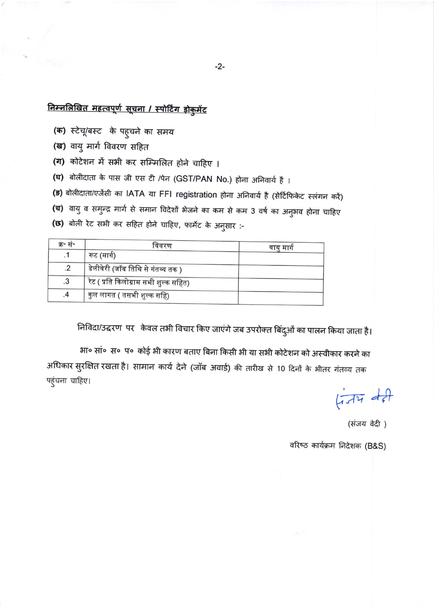# निम्नलिखित महत्वपूर्ण सूचना / स्पोर्टिंग डोकुमेंट

- (क) स्टेचू/बस्ट के पहुचने का समय
- (ख) वायु मार्ग विवरण सहित
- (ग) कोटेशन में सभी कर सम्मिलित होने चाहिए ।
- (घ) बोलीदाता के पास जी एस टी /पेन (GST/PAN No.) होना अनिवार्य है ।
- (ङ) बोलीदाता/एजेंसी का IATA या FFI registration होना अनिवार्य है (सेर्टिफिकेट स्लंगन करें)
- **(च)** वायु व समुन्द्र मार्ग से समान विदेशों भेजने का कम से कम 3 वर्ष का अनुभव होना चाहिए
- (छ) बोली रेट सभी कर सहित होने चाहिए, फार्मेट के अनुसार :-

| क्र∘ सं∘ | विवरण                                   | वायु मार्ग |
|----------|-----------------------------------------|------------|
|          | रूट (मार्ग)                             |            |
| .2       | , डेलीवेरी (जॉब तिथि से गंतव्य तक )     |            |
| .3       | , रेट ( प्रति किलोग्राम सभी शुल्क सहित) |            |
| .4       | कुल लागत ( तसभी शुल्क सहि)              |            |

निविदा/उद्धरण पर केवल तभी विचार किए जाएंगे जब उपरोक्त बिंदुओं का पालन किया जाता है।

भा० सां० स० प० कोई भी कारण बताए बिना किसी भी या सभी कोटेशन को अस्वीकार करने का अधिकार सुरक्षित रखता है। सामान कार्य देने (जॉब अवार्ड) की तारीख से 10 दिनों के भीतर गंतव्य तक पहुंचना चाहिए।

 $474$ 

(संजय वेदी )

वरिष्ठ कार्यक्रम निदेशक (B&S)